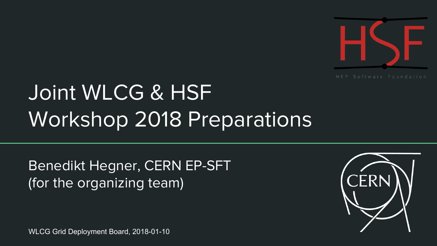

# Joint WLCG & HSF Workshop 2018 Preparations

Benedikt Hegner, CERN EP-SFT (for the organizing team)

WLCG Grid Deployment Board, 2018-01-10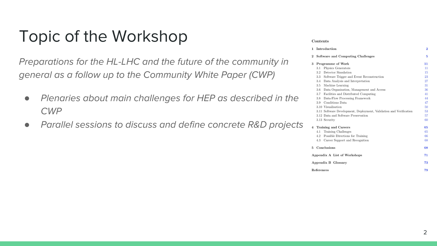#### Topic of the Workshop

Preparations for the HL-LHC and the future of the community in general as a follow up to the Community White Paper (CWP)

- *●* Plenaries about main challenges for HEP as described in the CWP
- *●* Parallel sessions to discuss and define concrete R&D projects

#### **Contents**

| $\mathbf{1}$   | Introduction                                                       | 2               |
|----------------|--------------------------------------------------------------------|-----------------|
| $\overline{2}$ | Software and Computing Challenges                                  | ŧ               |
| 3              | Programme of Work                                                  | 11              |
|                | Physics Generators<br>3.1                                          | $_{11}$         |
|                | Detector Simulation<br>3.2                                         | 18              |
|                | Software Trigger and Event Reconstruction<br>3.3                   | $2\overline{z}$ |
|                | Data Analysis and Interpretation<br>3.4                            | 27              |
|                | Machine Learning<br>3.5                                            | 31              |
|                | Data Organisation, Management and Access<br>3.6                    | 36              |
|                | Facilities and Distributed Computing<br>3.7                        | 41              |
|                | Data-Flow Processing Framework<br>3.8                              | 44              |
|                | Conditions Data<br>3.9                                             | 47              |
|                | 3.10 Visualisation                                                 | 50              |
|                | 3.11 Software Development, Deployment, Validation and Verification | 53              |
|                | 3.12 Data and Software Preservation                                | 57              |
|                | 3.13 Security                                                      | 60              |
| $\overline{4}$ | <b>Training and Careers</b>                                        | 65              |
|                | <b>Training Challenges</b><br>4.1                                  | 65              |
|                | Possible Directions for Training<br>4.2                            | 66              |
|                | 4.3<br>Career Support and Recognition                              | 68              |
| 5              | Conclusions                                                        | 68              |
|                | Appendix A List of Workshops                                       | 71              |
|                | Appendix B Glossary                                                | 73              |
|                | References                                                         | 79              |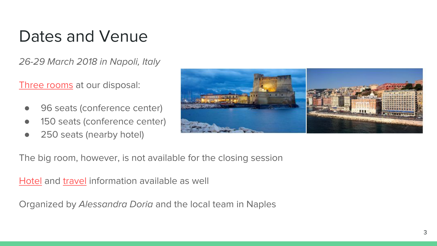## Dates and Venue

26-29 March 2018 in Napoli, Italy

[Three rooms](https://indico.cern.ch/event/658060/page/12406-venue) at our disposal:

- 96 seats (conference center)
- 150 seats (conference center)
- 250 seats (nearby hotel)



The big room, however, is not available for the closing session

[Hotel](https://indico.cern.ch/event/658060/page/12407-accomodation) and [travel](https://indico.cern.ch/event/658060/page/12427-travel-info) information available as well

Organized by Alessandra Doria and the local team in Naples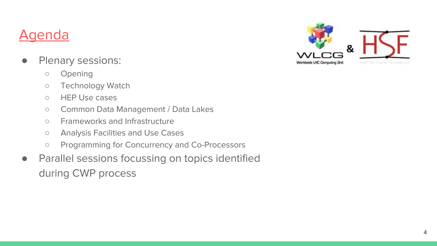#### [Agenda](https://indico.cern.ch/event/658060/page/12406-venue)

- Plenary sessions:
	- Opening
	- Technology Watch
	- HEP Use cases
	- Common Data Management / Data Lakes
	- Frameworks and Infrastructure
	- Analysis Facilities and Use Cases
	- Programming for Concurrency and Co-Processors
- Parallel sessions focussing on topics identified during CWP process

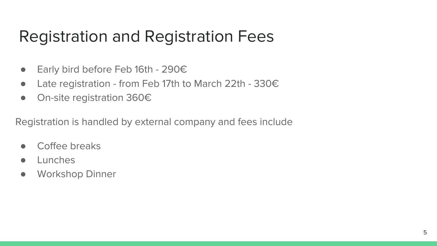### Registration and Registration Fees

- Early bird before Feb 16th 290€
- Late registration from Feb 17th to March 22th 330€
- On-site registration 360€

Registration is handled by external company and fees include

- Coffee breaks
- **Lunches**
- Workshop Dinner